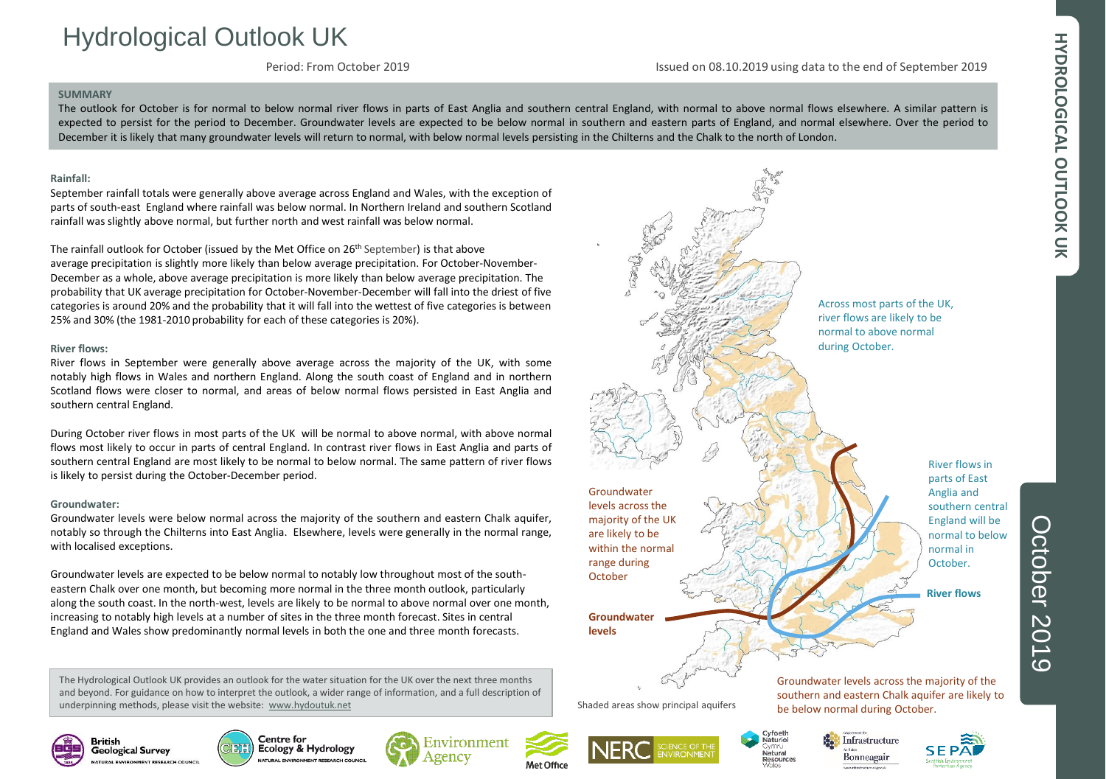# HYDROLOGICAL OUTLOOK UK **HYDROLOGICAL OUTLOOK UK**

# Hydrological Outlook UK

Period: From October 2019

Issued on 08.10.2019 using data to the end of September 2019

#### **SUMMARY**

The outlook for October is for normal to below normal river flows in parts of East Anglia and southern central England, with normal to above normal flows elsewhere. A similar pattern is expected to persist for the period to December. Groundwater levels are expected to be below normal in southern and eastern parts of England, and normal elsewhere. Over the period to December it is likely that many groundwater levels will return to normal, with below normal levels persisting in the Chilterns and the Chalk to the north of London.

#### **Rainfall:**

September rainfall totals were generally above average across England and Wales, with the exception of parts of south-east England where rainfall was below normal. In Northern Ireland and southern Scotland rainfall was slightly above normal, but further north and west rainfall was below normal.

The rainfall outlook for October (issued by the Met Office on 26<sup>th</sup> September) is that above average precipitation is slightly more likely than below average precipitation. For October-November-December as a whole, above average precipitation is more likely than below average precipitation. The probability that UK average precipitation for October-November-December will fall into the driest of five categories is around 20% and the probability that it will fall into the wettest of five categories is between 25% and 30% (the 1981-2010 probability for each of these categories is 20%).

#### **River flows:**

River flows in September were generally above average across the majority of the UK, with some notably high flows in Wales and northern England. Along the south coast of England and in northern Scotland flows were closer to normal, and areas of below normal flows persisted in East Anglia and southern central England.

During October river flows in most parts of the UK will be normal to above normal, with above normal flows most likely to occur in parts of central England. In contrast river flows in East Anglia and parts of southern central England are most likely to be normal to below normal. The same pattern of river flows is likely to persist during the October-December period.

#### **Groundwater:**

Groundwater levels were below normal across the majority of the southern and eastern Chalk aquifer, notably so through the Chilterns into East Anglia. Elsewhere, levels were generally in the normal range, with localised exceptions.

Groundwater levels are expected to be below normal to notably low throughout most of the southeastern Chalk over one month, but becoming more normal in the three month outlook, particularly along the south coast. In the north-west, levels are likely to be normal to above normal over one month, increasing to notably high levels at a number of sites in the three month forecast. Sites in central England and Wales show predominantly normal levels in both the one and three month forecasts.

The Hydrological Outlook UK provides an outlook for the water situation for the UK over the next three months and beyond. For guidance on how to interpret the outlook, a wider range of information, and a full description of underpinning methods, please visit the website: [www.hydoutuk.net](http://www.hydoutuk.net/)



southern central normal to below

**British** 







Met Office





Bonneagair